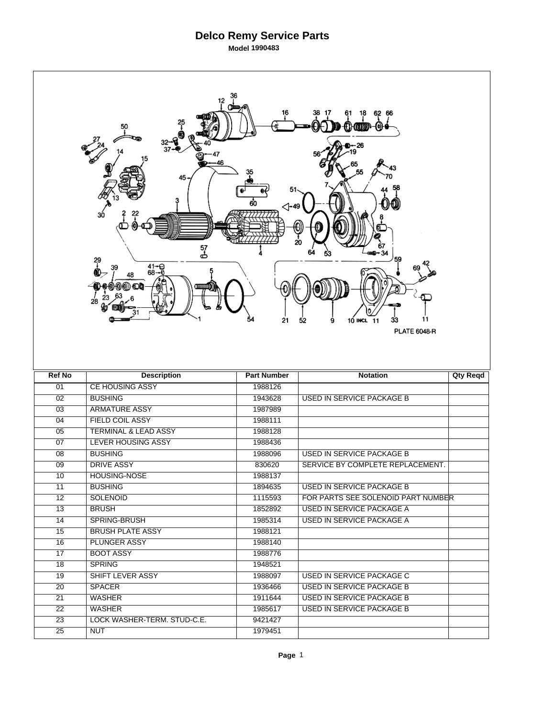## **Delco Remy Service Parts Model 1990483**

|                 | 50<br>45<br>ЗÓ<br>57<br>ക<br>29<br>$41 - 28 - 8$<br>48<br>00) OD<br>28 | 16<br>⊲-49<br>54<br>21 | 18<br>62<br>66<br>O)<br>59<br>11<br>10 INCL 11<br>52<br>9<br>33<br><b>PLATE 6048-R</b> |                 |
|-----------------|------------------------------------------------------------------------|------------------------|----------------------------------------------------------------------------------------|-----------------|
|                 |                                                                        |                        |                                                                                        |                 |
| <b>Ref No</b>   | <b>Description</b>                                                     | <b>Part Number</b>     | <b>Notation</b>                                                                        | <b>Qty Reqd</b> |
| 01              | <b>CE HOUSING ASSY</b>                                                 | 1988126                |                                                                                        |                 |
| $\overline{02}$ | <b>BUSHING</b>                                                         | 1943628                | <b>USED IN SERVICE PACKAGE B</b>                                                       |                 |
| $\overline{03}$ | <b>ARMATURE ASSY</b>                                                   | 1987989                |                                                                                        |                 |
| 04              | <b>FIELD COIL ASSY</b>                                                 | 1988111                |                                                                                        |                 |
| 05              | <b>TERMINAL &amp; LEAD ASSY</b>                                        | 1988128                |                                                                                        |                 |
| 07              | <b>LEVER HOUSING ASSY</b>                                              | 1988436                |                                                                                        |                 |
| $\overline{08}$ | <b>BUSHING</b>                                                         | 1988096                | <b>USED IN SERVICE PACKAGE B</b>                                                       |                 |
| 09              | <b>DRIVE ASSY</b>                                                      | 830620                 | SERVICE BY COMPLETE REPLACEMENT.                                                       |                 |
| 10              | <b>HOUSING-NOSE</b>                                                    | 1988137                |                                                                                        |                 |
| 11              | <b>BUSHING</b>                                                         | 1894635                | USED IN SERVICE PACKAGE B                                                              |                 |
| 12              | <b>SOLENOID</b>                                                        | 1115593                | FOR PARTS SEE SOLENOID PART NUMBER                                                     |                 |
| 13              | <b>BRUSH</b>                                                           | 1852892                | <b>USED IN SERVICE PACKAGE A</b>                                                       |                 |
| 14              | SPRING-BRUSH                                                           | 1985314                | USED IN SERVICE PACKAGE A                                                              |                 |
| 15              | <b>BRUSH PLATE ASSY</b>                                                | 1988121                |                                                                                        |                 |
| 16              | <b>PLUNGER ASSY</b>                                                    | 1988140                |                                                                                        |                 |
| 17              | <b>BOOT ASSY</b>                                                       | 1988776                |                                                                                        |                 |
| 18              | <b>SPRING</b>                                                          | 1948521                |                                                                                        |                 |
| 19              | SHIFT LEVER ASSY                                                       | 1988097                | USED IN SERVICE PACKAGE C                                                              |                 |
| 20              | <b>SPACER</b>                                                          | 1936466                | USED IN SERVICE PACKAGE B                                                              |                 |
| 21              | <b>WASHER</b>                                                          | 1911644                | USED IN SERVICE PACKAGE B                                                              |                 |
| $\overline{22}$ | <b>WASHER</b>                                                          | 1985617                | USED IN SERVICE PACKAGE B                                                              |                 |
| 23              | LOCK WASHER-TERM. STUD-C.E.                                            | 9421427                |                                                                                        |                 |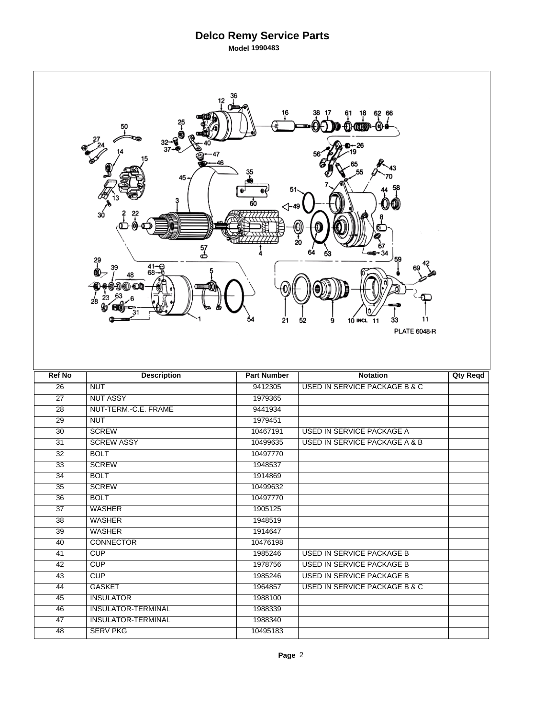## **Delco Remy Service Parts Model 1990483**

|                 | 12<br>50<br>46<br>45<br>зó<br>57<br>ക<br>원<br>$41 - 9$<br>68-0<br>48<br>(1) (1) (D)<br>28 | 16<br>⊲-49<br>54<br>21 | 62 66<br>18<br>O)<br>20<br>34<br>59<br>11<br>52<br>9<br>10 INCL 11<br>33<br><b>PLATE 6048-R</b> |                 |
|-----------------|-------------------------------------------------------------------------------------------|------------------------|-------------------------------------------------------------------------------------------------|-----------------|
|                 |                                                                                           |                        |                                                                                                 |                 |
| <b>Ref No</b>   | <b>Description</b>                                                                        | <b>Part Number</b>     | <b>Notation</b>                                                                                 | <b>Qty Reqd</b> |
| $\overline{26}$ | <b>NUT</b>                                                                                | 9412305                | <b>USED IN SERVICE PACKAGE B &amp; C</b>                                                        |                 |
| $\overline{27}$ | <b>NUT ASSY</b>                                                                           | 1979365                |                                                                                                 |                 |
| $\overline{28}$ | NUT-TERM.-C.E. FRAME                                                                      | 9441934                |                                                                                                 |                 |
| $\overline{29}$ | <b>NUT</b>                                                                                | 1979451                |                                                                                                 |                 |
| 30              | <b>SCREW</b>                                                                              | 10467191               | <b>USED IN SERVICE PACKAGE A</b>                                                                |                 |
| $\overline{31}$ | <b>SCREW ASSY</b>                                                                         | 10499635               | <b>USED IN SERVICE PACKAGE A &amp; B</b>                                                        |                 |
| $\overline{32}$ | <b>BOLT</b>                                                                               | 10497770               |                                                                                                 |                 |
| 33              | <b>SCREW</b>                                                                              | 1948537                |                                                                                                 |                 |
| $\overline{34}$ | <b>BOLT</b>                                                                               | 1914869                |                                                                                                 |                 |
| 35              | <b>SCREW</b>                                                                              | 10499632               |                                                                                                 |                 |
| 36              | <b>BOLT</b>                                                                               | 10497770               |                                                                                                 |                 |
| $\overline{37}$ | <b>WASHER</b>                                                                             | 1905125                |                                                                                                 |                 |
| 38              | <b>WASHER</b>                                                                             | 1948519                |                                                                                                 |                 |
| $\overline{39}$ | <b>WASHER</b>                                                                             | 1914647                |                                                                                                 |                 |
| 40              | <b>CONNECTOR</b>                                                                          | 10476198               |                                                                                                 |                 |
| 41              | CUP                                                                                       | 1985246                | <b>USED IN SERVICE PACKAGE B</b>                                                                |                 |
| 42              | CUP                                                                                       | 1978756                | <b>USED IN SERVICE PACKAGE B</b>                                                                |                 |
| 43              | CUP                                                                                       | 1985246                | <b>USED IN SERVICE PACKAGE B</b>                                                                |                 |
| 44              | <b>GASKET</b>                                                                             | 1964857                | USED IN SERVICE PACKAGE B & C                                                                   |                 |
| 45              | <b>INSULATOR</b>                                                                          | 1988100                |                                                                                                 |                 |
| 46              | <b>INSULATOR-TERMINAL</b>                                                                 | 1988339                |                                                                                                 |                 |
| 47              | <b>INSULATOR-TERMINAL</b>                                                                 | 1988340                |                                                                                                 |                 |